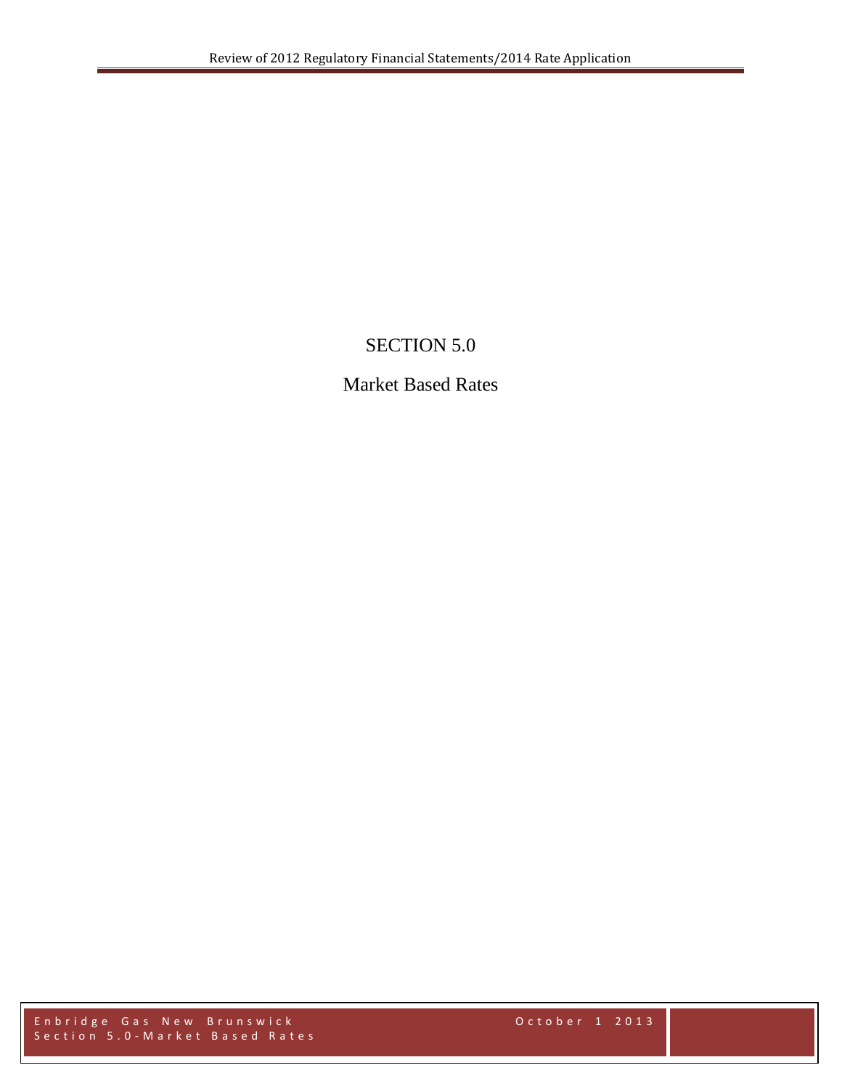## SECTION 5.0

## Market Based Rates

Enbridge Gas New Brunswick October 1 2013 Section 5.0 - Market Based Rates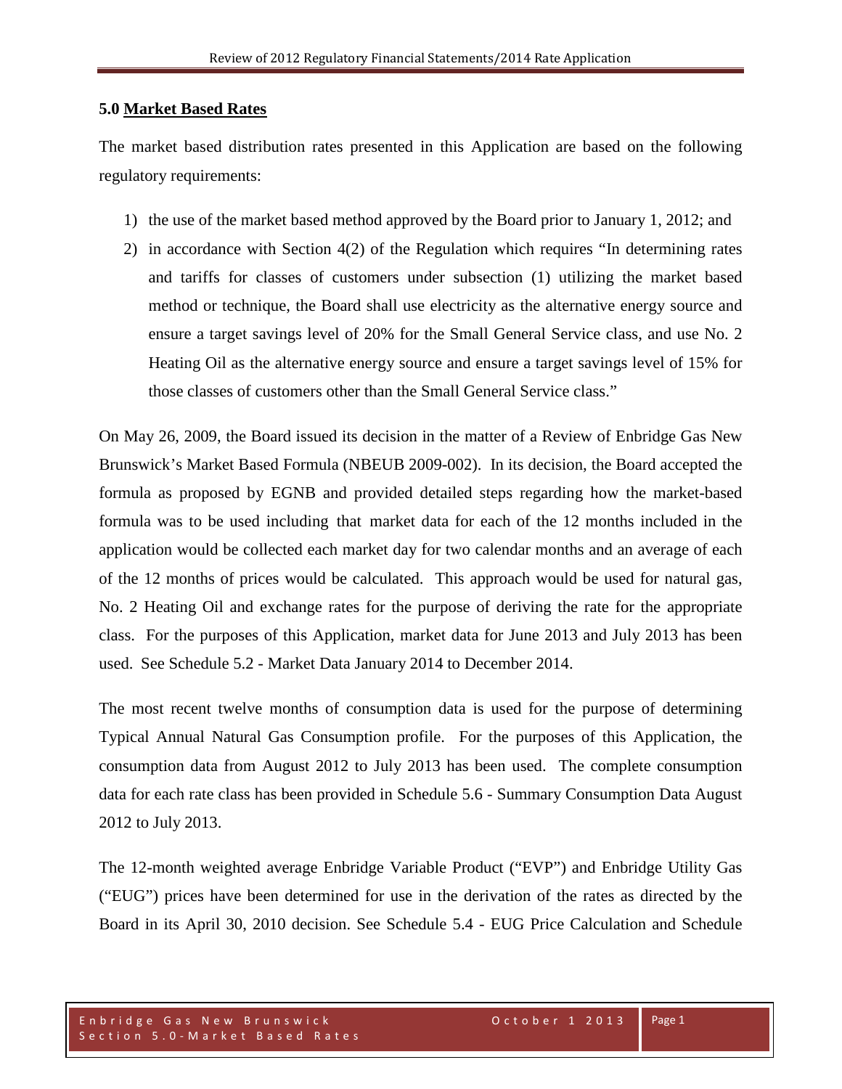## **5.0 Market Based Rates**

The market based distribution rates presented in this Application are based on the following regulatory requirements:

- 1) the use of the market based method approved by the Board prior to January 1, 2012; and
- 2) in accordance with Section 4(2) of the Regulation which requires "In determining rates and tariffs for classes of customers under subsection (1) utilizing the market based method or technique, the Board shall use electricity as the alternative energy source and ensure a target savings level of 20% for the Small General Service class, and use No. 2 Heating Oil as the alternative energy source and ensure a target savings level of 15% for those classes of customers other than the Small General Service class."

On May 26, 2009, the Board issued its decision in the matter of a Review of Enbridge Gas New Brunswick's Market Based Formula (NBEUB 2009-002). In its decision, the Board accepted the formula as proposed by EGNB and provided detailed steps regarding how the market-based formula was to be used including that market data for each of the 12 months included in the application would be collected each market day for two calendar months and an average of each of the 12 months of prices would be calculated. This approach would be used for natural gas, No. 2 Heating Oil and exchange rates for the purpose of deriving the rate for the appropriate class. For the purposes of this Application, market data for June 2013 and July 2013 has been used. See Schedule 5.2 - Market Data January 2014 to December 2014.

The most recent twelve months of consumption data is used for the purpose of determining Typical Annual Natural Gas Consumption profile. For the purposes of this Application, the consumption data from August 2012 to July 2013 has been used. The complete consumption data for each rate class has been provided in Schedule 5.6 - Summary Consumption Data August 2012 to July 2013.

The 12-month weighted average Enbridge Variable Product ("EVP") and Enbridge Utility Gas ("EUG") prices have been determined for use in the derivation of the rates as directed by the Board in its April 30, 2010 decision. See Schedule 5.4 - EUG Price Calculation and Schedule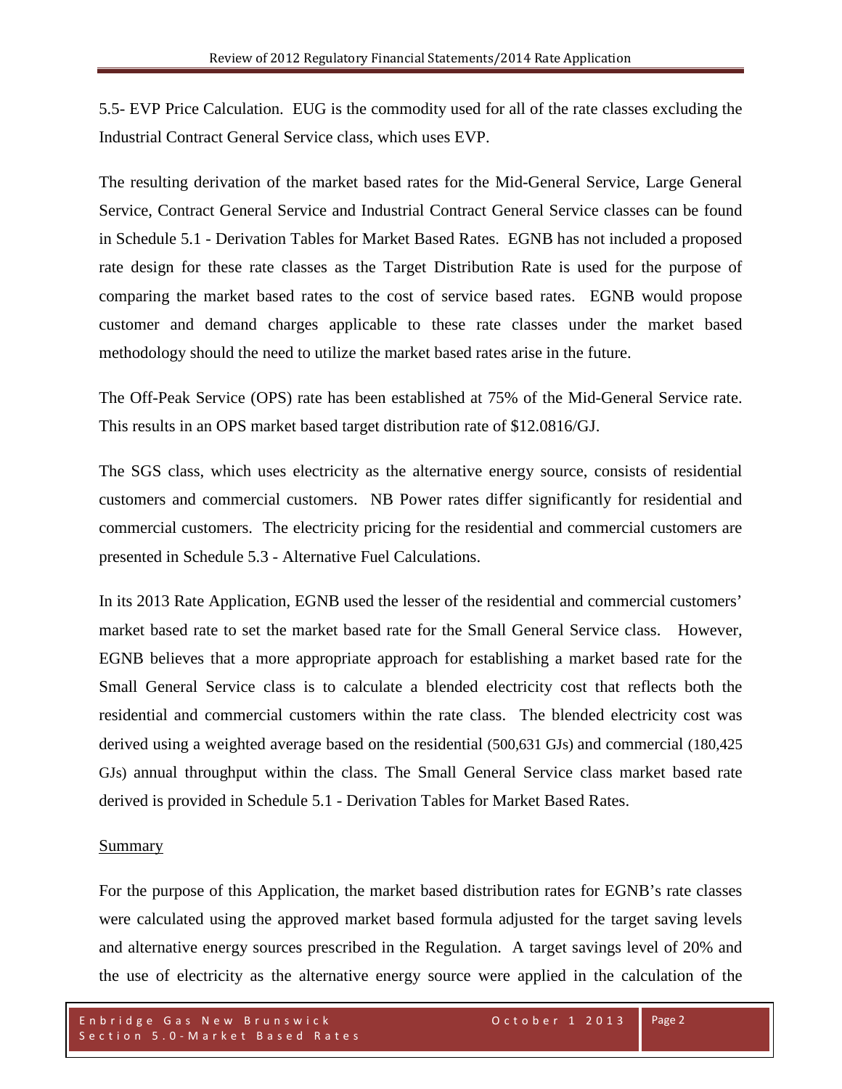5.5- EVP Price Calculation. EUG is the commodity used for all of the rate classes excluding the Industrial Contract General Service class, which uses EVP.

The resulting derivation of the market based rates for the Mid-General Service, Large General Service, Contract General Service and Industrial Contract General Service classes can be found in Schedule 5.1 - Derivation Tables for Market Based Rates. EGNB has not included a proposed rate design for these rate classes as the Target Distribution Rate is used for the purpose of comparing the market based rates to the cost of service based rates. EGNB would propose customer and demand charges applicable to these rate classes under the market based methodology should the need to utilize the market based rates arise in the future.

The Off-Peak Service (OPS) rate has been established at 75% of the Mid-General Service rate. This results in an OPS market based target distribution rate of \$12.0816/GJ.

The SGS class, which uses electricity as the alternative energy source, consists of residential customers and commercial customers. NB Power rates differ significantly for residential and commercial customers. The electricity pricing for the residential and commercial customers are presented in Schedule 5.3 - Alternative Fuel Calculations.

In its 2013 Rate Application, EGNB used the lesser of the residential and commercial customers' market based rate to set the market based rate for the Small General Service class. However, EGNB believes that a more appropriate approach for establishing a market based rate for the Small General Service class is to calculate a blended electricity cost that reflects both the residential and commercial customers within the rate class. The blended electricity cost was derived using a weighted average based on the residential (500,631 GJs) and commercial (180,425 GJs) annual throughput within the class. The Small General Service class market based rate derived is provided in Schedule 5.1 - Derivation Tables for Market Based Rates.

## Summary

For the purpose of this Application, the market based distribution rates for EGNB's rate classes were calculated using the approved market based formula adjusted for the target saving levels and alternative energy sources prescribed in the Regulation. A target savings level of 20% and the use of electricity as the alternative energy source were applied in the calculation of the